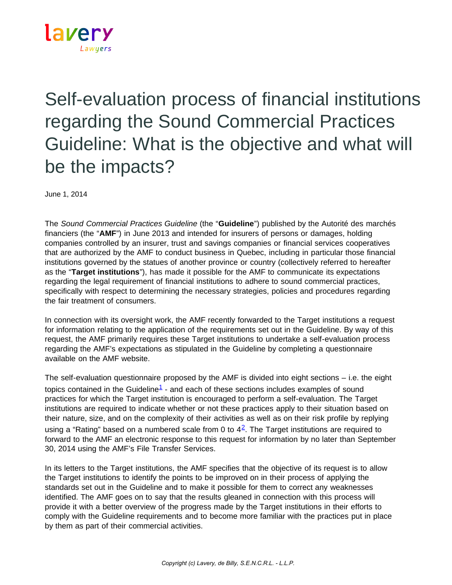

## Self-evaluation process of financial institutions regarding the Sound Commercial Practices Guideline: What is the objective and what will be the impacts?

June 1, 2014

The *Sound Commercial Practices Guideline* (the "**Guideline**") published by the Autorité des marchés financiers (the "**AMF**") in June 2013 and intended for insurers of persons or damages, holding companies controlled by an insurer, trust and savings companies or financial services cooperatives that are authorized by the AMF to conduct business in Quebec, including in particular those financial institutions governed by the statues of another province or country (collectively referred to hereafter as the "**Target institutions**"), has made it possible for the AMF to communicate its expectations regarding the legal requirement of financial institutions to adhere to sound commercial practices, specifically with respect to determining the necessary strategies, policies and procedures regarding the fair treatment of consumers.

In connection with its oversight work, the AMF recently forwarded to the Target institutions a request for information relating to the application of the requirements set out in the Guideline. By way of this request, the AMF primarily requires these Target institutions to undertake a self-evaluation process regarding the AMF's expectations as stipulated in the Guideline by completing a questionnaire available on the AMF website.

The self-evaluation questionnaire proposed by the AMF is divided into eight sections – i.e. the eight topics contained in the Guideline<sup>[1](https://www.lavery.ca/en/publications/our-publications/1796-self-evaluation-process-of-financial-institutions-regarding-the-sound-commercial-practices-guideline-what-is-the-objective-and-what-will-be-the-impacts-.html#01)</sup> - and each of these sections includes examples of sound practices for which the Target institution is encouraged to perform a self-evaluation. The Target institutions are required to indicate whether or not these practices apply to their situation based on their nature, size, and on the complexity of their activities as well as on their risk profile by replying using a "Rating" based on a numbered scale from 0 to  $4^2$  $4^2$ . The Target institutions are required to forward to the AMF an electronic response to this request for information by no later than September 30, 2014 using the AMF's File Transfer Services.

In its letters to the Target institutions, the AMF specifies that the objective of its request is to allow the Target institutions to identify the points to be improved on in their process of applying the standards set out in the Guideline and to make it possible for them to correct any weaknesses identified. The AMF goes on to say that the results gleaned in connection with this process will provide it with a better overview of the progress made by the Target institutions in their efforts to comply with the Guideline requirements and to become more familiar with the practices put in place by them as part of their commercial activities.